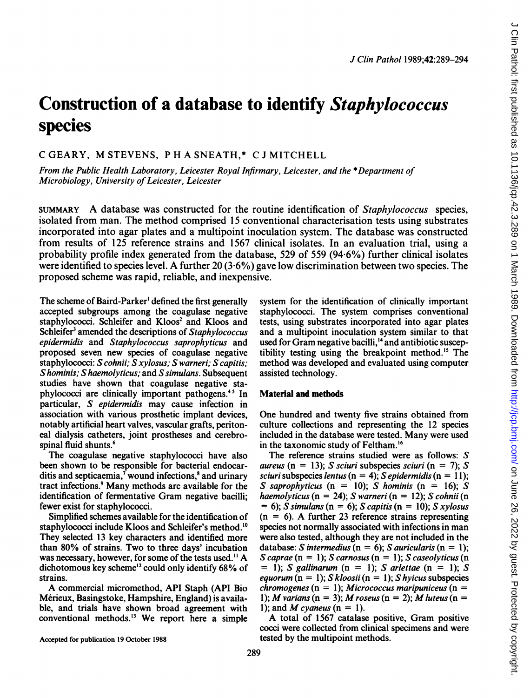# Construction of a database to identify Staphylococcus species

# C GEARY, M STEVENS, <sup>P</sup> H A SNEATH,\* C <sup>J</sup> MITCHELL

From the Public Health Laboratory, Leicester Royal Infirmary, Leicester, and the \*Department of Microbiology, University of Leicester, Leicester

SUMMARY A database was constructed for the routine identification of Staphylococcus species, isolated from man. The method comprised 15 conventional characterisation tests using substrates incorporated into agar plates and a multipoint inoculation system. The database was constructed from results of 125 reference strains and 1567 clinical isolates. In an evaluation trial, using a probability profile index generated from the database, 529 of 559 (94-6%) further clinical isolates were identified to species level. A further 20 (3.6%) gave low discrimination between two species. The proposed scheme was rapid, reliable, and inexpensive.

The scheme of Baird-Parker' defined the first generally accepted subgroups among the coagulase negative staphylococci. Schleifer and Kloos<sup>2</sup> and Kloos and Schleifer<sup>3</sup> amended the descriptions of Staphylococcus epidermidis and Staphylococcus saprophyticus and proposed seven new species of coagulase negative staphylococci: S cohnii; S xylosus; S warneri; S capitis; Shominis; Shaemolyticus; and S simulans. Subsequent studies have shown that coagulase negative staphylococci are clinically important pathogens."5 In particular, S epidermidis may cause infection in association with various prosthetic implant devices, notably artificial heart valves, vascular grafts, peritoneal dialysis catheters, joint prostheses and cerebrospinal fluid shunts.<sup>6</sup>

The coagulase negative staphylococci have also been shown to be responsible for bacterial endocarditis and septicaemia, $\bar{y}$  wound infections, $\bar{y}$  and urinary tract infections.9 Many methods are available for the identification of fermentative Gram negative bacilli; fewer exist for staphylococci.

Simplified schemes available for the identification of staphylococci include Kloos and Schleifer's method.<sup>10</sup> They selected 13 key characters and identified more than 80% of strains. Two to three days' incubation was necessary, however, for some of the tests used.<sup>11</sup> A dichotomous key scheme'2 could only identify 68% of strains.

A commercial micromethod, API Staph (API Bio Mérieux, Basingstoke, Hampshire, England) is available, and trials have shown broad agreement with conventional methods.'3 We report here <sup>a</sup> simple system for the identification of clinically important staphylococci. The system comprises conventional tests, using substrates incorporated into agar plates and a multipoint inoculation system similar to that used for Gram negative bacilli,<sup>14</sup> and antibiotic susceptibility testing using the breakpoint method.<sup>15</sup> The method was developed and evaluated using computer assisted technology.

# Material and methods

One hundred and twenty five strains obtained from culture collections and representing the 12 species included in the database were tested. Many were used in the taxonomic study of Feltham.'6

The reference strains studied were as follows: S aureus (n = 13); S sciuri subspecies sciuri (n = 7); S sciuri subspecies lentus (n = 4); S epidermidis (n = 11); S saprophyticus (n = 10); S hominis (n = 16); S haemolyticus (n = 24); S warneri (n = 12); S cohnii (n  $= 6$ ); S simulans (n = 6); S capitis (n = 10); S xylosus  $(n = 6)$ . A further 23 reference strains representing species not normally associated with infections in man were also tested, although they are not included in the database: S intermedius ( $n = 6$ ); S auricularis ( $n = 1$ ); S caprae  $(n = 1)$ ; S carnosus  $(n = 1)$ ; S caseolyticus  $(n = 1)$  $= 1$ ; S gallinarum (n = 1); S arlettae (n = 1); S equorum  $(n = 1)$ ; S kloosii  $(n = 1)$ ; S hyicus subspecies  $chromogeneous (n = 1);$  Micrococcus maripuniceus (n = 1); M varians (n = 3); M roseus (n = 2); M luteus (n = 1); and M cvaneus ( $n = 1$ ).

A total of <sup>1567</sup> catalase positive, Gram positive cocci were collected from clinical specimens and were tested by the multipoint methods.

Accepted for publication 19 October 1988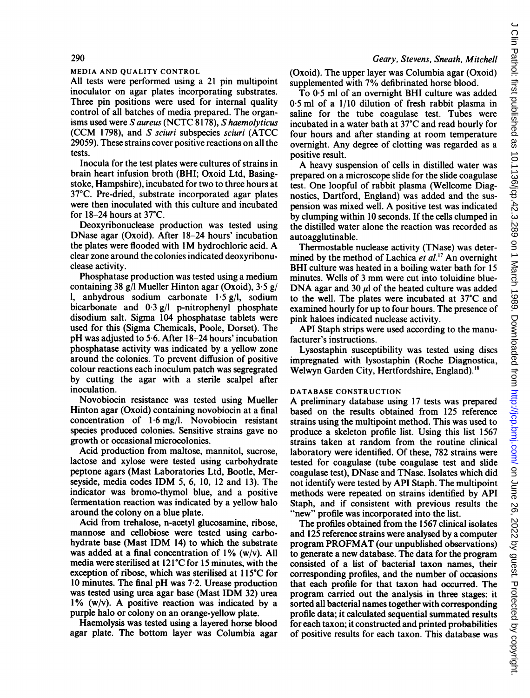# Geary, Stevens, Sneath, Mitchell

### MEDIA AND QUALITY CONTROL

All tests were performed using a 21 pin multipoint inoculator on agar plates incorporating substrates. Three pin positions were used for internal quality control of all batches of media prepared. The organisms used were S aureus (NCTC 8178), S haemolyticus (CCM 1798), and S sciuri subspecies sciuri (ATCC 29059). These strains cover positive reactions on all the tests.

Inocula for the test plates were cultures of strains in brain heart infusion broth (BHI; Oxoid Ltd, Basingstoke, Hampshire), incubated for two to three hours at 37°C. Pre-dried, substrate incorporated agar plates were then inoculated with this culture and incubated for  $18-24$  hours at  $37^{\circ}$ C.

Deoxyribonuclease production was tested using DNase agar (Oxoid). After 18-24 hours' incubation the plates were flooded with 1M hydrochloric acid. A clear zone around the colonies indicated deoxyribonuclease activity.

Phosphatase production was tested using a medium containing 38 g/l Mueller Hinton agar (Oxoid), 3-5 g/ 1, anhydrous sodium carbonate <sup>1</sup> 5 g/l, sodium bicarbonate and  $0.3$  g/l p-nitrophenyl phosphate disodium salt. Sigma 104 phosphatase tablets were used for this (Sigma Chemicals, Poole, Dorset). The pH was adjusted to 5-6. After 18-24 hours' incubation phosphatase activity was indicated by a yellow zone around the colonies. To prevent diffusion of positive colour reactions each inoculum patch was segregrated by cutting the agar with a sterile scalpel after inoculation.

Novobiocin resistance was tested using Mueller Hinton agar (Oxoid) containing novobiocin at a final concentration of  $1.6 \text{ mg/l}$ . Novobiocin resistant species produced colonies. Sensitive strains gave no growth or occasional microcolonies.

Acid production from maltose, mannitol, sucrose, lactose and xylose were tested using carbohydrate peptone agars (Mast Laboratories Ltd, Bootle, Merseyside, media codes IDM 5, 6, 10, <sup>12</sup> and 13). The indicator was bromo-thymol blue, and a positive fermentation reaction was indicated by a yellow halo around the colony on a blue plate.

Acid from trehalose, n-acetyl glucosamine, ribose, mannose and cellobiose were tested using carbohydrate base (Mast IDM 14) to which the substrate was added at a final concentration of 1% (w/v). All media were sterilised at 121°C for 15 minutes, with the exception of ribose, which was sterilised at 115°C for <sup>10</sup> minutes. The final pH was 7-2. Urease production was tested using urea agar base (Mast IDM 32) urea 1% (w/v). A positive reaction was indicated by <sup>a</sup> purple halo or colony on an orange-yellow plate.

Haemolysis was tested using a layered horse blood agar plate. The bottom layer was Columbia agar (Oxoid). The upper layer was Columbia agar (Oxoid) supplemented with 7% defibrinated horse blood.

To  $0.5$  ml of an overnight BHI culture was added 0 5 ml of a 1/10 dilution of fresh rabbit plasma in saline for the tube coagulase test. Tubes were incubated in a water bath at 37'C and read hourly for four hours and after standing at room temperature overnight. Any degree of clotting was regarded as a positive result.

A heavy suspension of cells in distilled water was prepared on a microscope slide for the slide coagulase test. One loopful of rabbit plasma (Wellcome Diagnostics, Dartford, England) was added and the suspension was mixed well. A positive test was indicated by clumping within 10 seconds. If the cells clumped in the distilled water alone the reaction was recorded as autoagglutinable.

Thermostable nuclease activity (TNase) was determined by the method of Lachica et al.<sup>17</sup> An overnight BHI culture was heated in a boiling water bath for <sup>15</sup> minutes. Wells of <sup>3</sup> mm were cut into toluidine blue-DNA agar and 30  $\mu$ l of the heated culture was added to the well. The plates were incubated at 37'C and examined hourly for up to four hours. The presence of pink haloes indicated nuclease activity.

API Staph strips were used according to the manufacturer's instructions.

Lysostaphin susceptibility was tested using discs impregnated with lysostaphin (Roche Diagnostica, Welwyn Garden City, Hertfordshire, England).'8

# DATABASE CONSTRUCTION

A preliminary database using <sup>17</sup> tests was prepared based on the results obtained from 125 reference strains using the multipoint method. This was used to produce a skeleton profile list. Using this list 1567 strains taken at random from the routine clinical laboratory were identified. Of these, 782 strains were tested for coagulase (tube coagulase test and slide coagulase test), DNase and TNase. Isolates which did not identify were tested by API Staph. The multipoint methods were repeated on strains identified by API Staph, and if consistent with previous results the "new" profile was incorporated into the list.

The profiles obtained from the 1567 clinical isolates and 125 reference strains were analysed by a computer program PROFMAT (our unpublished observations) to generate a new database. The data for the program consisted of a list of bacterial taxon names, their corresponding profiles, and the number of occasions that each profile for that taxon had occurred. The program carried out the analysis in three stages: it sorted all bacterial names together with corresponding profile data; it calculated sequential summated results for each taxon; it constructed and printed probabilities of positive results for each taxon. This database was

### 290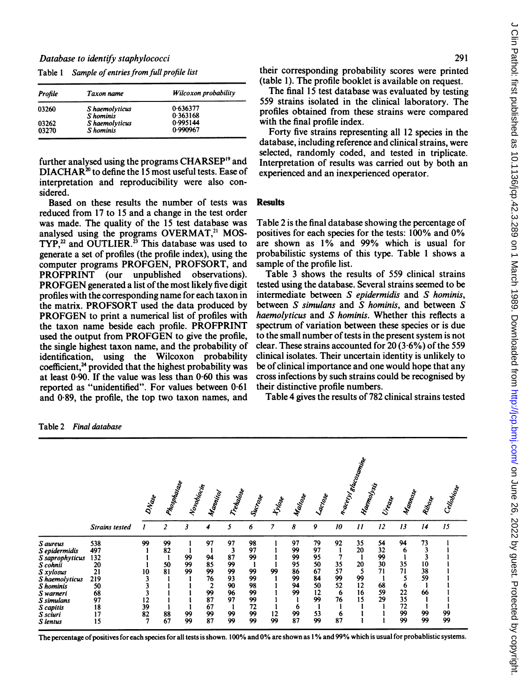| Profile | Taxon name     | Wilcoxon probability |
|---------|----------------|----------------------|
| 03260   | S haemolyticus | 0.636377             |
|         | S hominis      | 0.363168             |
| 03262   | S haemolyticus | 0.995144             |
| 03270   | S hominis      | 0.990967             |

DIACHAR<sup>20</sup> to define the 15 most useful tests. Ease of experienced and an inexperienced operator. interpretation and reproducibility were also considered.

Based on these results the number of tests was Results reduced from 17 to 15 and a change in the test order<br>was made. The quality of the 15 test database was analysed using the programs OVERMAT,<sup>21</sup> MOS-TYP,<sup>22</sup> and OUTLIER.<sup>23</sup> This database was used to generate a set of profiles (the profile index), using the probabilistic systems of computer programs PROFGEN, PROFSORT, and sample of the profile list. computer programs PROFGEN, PROFSORT, and sample of the profile list.<br>PROFPRINT (our unpublished observations). Table 3 shows the results of 559 clinical strains PROFPRINT (our unpublished observations). Table 3 shows the results of 559 clinical strains<br>PROFGEN generated a list of the most likely five digit tested using the database. Several strains seemed to be PROFGEN generated a list of the most likely five digit profiles with the corresponding name for each taxon in the matrix. PROFSORT used the data produced by PROFGEN to print a numerical list of profiles with the taxon name beside each profile. PROFPRINT spectrum of variation between these species or is due<br>used the output from PROFGEN to give the profile. to the small number of tests in the present system is not used the output from PROFGEN to give the profile, to the small number of tests in the present system is not the single highest taxon name, and the probability of clear. These strains accounted for 20(3.6%) of the 559 the single highest taxon name, and the probability of identification. using the Wilcoxon probability coefficient,<sup>24</sup> provided that the highest probability was be of clinical importance and one would hope that any at least  $0.90$ . If the value was less than  $0.60$  this was cross infections by such strains could be recogn at least 0.90. If the value was less than 0.60 this was cross infections by such strains concreted as "unidentified". For values between 0.61 their distinctive profile numbers. reported as "unidentified". For values between 0.61 their distinctive profile numbers.<br>and 0.89, the profile, the top two taxon names, and Table 4 gives the results of 782 clinical strains tested and  $0.89$ , the profile, the top two taxon names, and

Table 1 Sample of entries from full profile list their corresponding probability scores were printed (table 1). The profile booklet is available on request.

> The final 15 test database was evaluated by testing 559 strains isolated in the clinical laboratory. The profiles obtained from these strains were compared with the final profile index.

Forty five strains representing all 12 species in the database, including reference and clinical strains, were selected, randomly coded, and tested in triplicate. further analysed using the programs CHARSEP<sup>19</sup> and Interpretation of results was carried out by both an

Table 2 is the final database showing the percentage of positives for each species for the tests: 100% and 0% are shown as  $1\%$  and 99% which is usual for probabilistic systems of this type. Table 1 shows a

intermediate between  $S$  epidermidis and  $S$  hominis, between  $S$  simulans and  $S$  hominis, and between  $S$ haemolyticus and  $S$  hominis. Whether this reflects a spectrum of variation between these species or is due clinical isolates. Their uncertain identity is unlikely to<br>be of clinical importance and one would hope that any

|                 |                       | DNase | Phospharase    | Novoliocin | Mannicol                | Trehalose | Sucreose | Hidoe | Mailose | Lactore |    | n.aceyletoogania<br>Hoemotysis | Urease | Mannoye | Ribose | Cellobice |
|-----------------|-----------------------|-------|----------------|------------|-------------------------|-----------|----------|-------|---------|---------|----|--------------------------------|--------|---------|--------|-----------|
|                 | <b>Strains tested</b> |       | $\overline{c}$ | 3          | 4                       | 5         | 6        | 7     | 8       | 9       | 10 | $\boldsymbol{\mathit{11}}$     | 12     | 13      | 14     | 15        |
| S aureus        | 538                   | 99    | 99             |            | 97                      | 97        | 98       |       | 97      | 79      | 92 | 35                             | 54     | 94      | 73     |           |
| S epidermidis   | 497                   |       | 82             |            |                         | 3         | 97       |       | 99      | 97      |    | 20                             | 32     | 6       |        |           |
| S saprophyticus | 132                   |       |                | 99         | 94                      | 87        | 99       |       | 99      | 95      |    |                                | 99     |         |        |           |
| S cohnii        | 20                    |       | 50             | 99         | 85                      | 99        |          |       | 95      | 50      | 35 | 20                             | 30     | 35      | 10     |           |
| S xylosus       | 21                    | 10    | 81             | 99         | 99                      | 99        | 99       | 99    | 86      | 67      | 57 | 5                              | 71     | 71      | 38     |           |
| S haemolyticus  | 219                   |       |                |            | 76                      | 93        | 99       |       | 99      | 84      | 99 | 99                             |        | 5       | 59     |           |
| S hominis       | 50                    |       |                |            | $\overline{\mathbf{c}}$ | 90        | 98       |       | 94      | 50      | 52 | 12                             | 68     | 6       |        |           |
| S warneri       | 68                    |       |                |            | 99                      | 96        | 99       |       | 99      | 12      | 6  | 16                             | 59     | 22      | 66     |           |
| S simulans      | 97                    | 12    |                |            | 87                      | 97        | 99       |       |         | 99      | 76 | 15                             | 29     | 35      |        |           |
| S capitis       | 18                    | 39    |                |            | 67                      | -1        | 72       |       | 6       |         |    |                                |        | 72      |        |           |
| S sciuri        | 17                    | 82    | 88             | 99         | 99                      | 99        | 99       | 12    | 99      | 53      | 6  |                                |        | 99      | 99     | 99<br>99  |
| S lentus        | 15                    | 7     | 67             | 99         | 87                      | 99        | 99       | 99    | 87      | 99      | 87 |                                |        | 99      | 99     |           |

Table 2 Final database

The percentage of positives for each species for all tests is shown. 100% and 0% are shown as 1% and 99% which is usual for probablistic systems.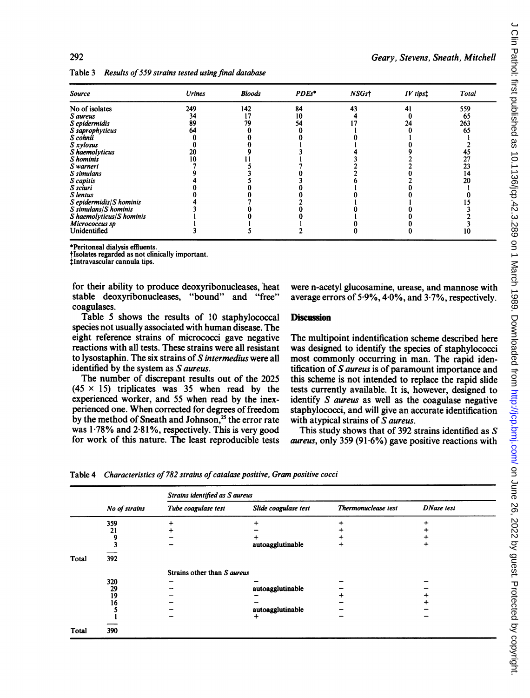292 Geary, Stevens, Sneath, Mitchell

| <b>Source</b>             | <b>Urines</b> | <b>Bloods</b> | PDEs* | NSGst | IV tips! | Total |
|---------------------------|---------------|---------------|-------|-------|----------|-------|
| No of isolates            | 249           | 142           | 84    | 43    |          | 559   |
| S aureus                  | 34            | 17            | 10    |       |          | 65    |
| S epidermidis             | 89            | 79            | 54    |       | 24       | 263   |
| S saprophyticus           | 64            |               |       |       |          | 65    |
| S cohnii                  |               |               |       |       |          |       |
| S xylosus                 |               |               |       |       |          |       |
| S haemolyticus            |               |               |       |       |          | 43    |
| S hominis                 |               |               |       |       |          | 27    |
| S warneri                 |               |               |       |       |          | 23    |
| S simulans                |               |               |       |       |          | 14    |
| S capitis                 |               |               |       |       |          | 20    |
| S sciuri                  |               |               |       |       |          |       |
| S lentus                  |               |               |       |       |          |       |
| S epidermidis/S hominis   |               |               |       |       |          |       |
| $S$ simulans/ $S$ hominis |               |               |       |       |          |       |
| S haemolyticus/S hominis  |               |               |       |       |          |       |
| Micrococcus sp            |               |               |       |       |          |       |
| Unidentified              |               |               |       |       |          | 10    |

Table 3 Results of 559 strains tested using final database

\*Peritoneal dialysis effluents.

tlsolates regarded as not clinically important.

tlntravascular cannula tips.

coagulases.

Table 5 shows the results of 10 staphylococcal Discussion species not usually associated with human disease. The eight reference strains of micrococci gave negative eight reference strains of micrococci gave negative The multipoint indentification scheme described here<br>reactions with all tests. These strains were all resistant was designed to identify the species of staphylococci reactions with all tests. These strains were all resistant was designed to identify the species of staphylococci<br>to lysostaphin. The six strains of S*intermedius* were all most commonly occurring in man. The rapid idento lysostaphin. The six strains of S intermedius were all most commonly occurring in man. The rapid iden-<br>identified by the system as S aureus.

The number of discrepant results out of the 2025 this scheme is not intended to replace the rapid slide  $(45 \times 15)$  triplicates was 35 when read by the tests currently available. It is, however, designed to experienced worker, and 55 when read by the inex-<br>perienced one. When corrected for degrees of freedom staphylococci, and will give an accurate identification by the method of Sneath and Johnson,<sup>25</sup> the error rate with atypical strains of  $\overline{S}$  aureus. was 1.78% and 2.81%, respectively. This is very good This study shows that of 392 strains identified as S for work of this nature. The least reproducible tests *aureus* only 359 (91.6%) gave positive reactions with

for their ability to produce deoxyribonucleases, heat were n-acetyl glucosamine, urease, and mannose with stable deoxyribonucleases, "bound" and "free" average errors of 5.9%, 4.0%, and 3.7%, respectively. average errors of 5.9%,  $4.0\%$ , and  $3.7\%$ , respectively.

entified by the system as S aureus.<br>The number of discrepant results out of the 2025 this scheme is not intended to replace the rapid slide tests currently available. It is, however, designed to staphylococci, and will give an accurate identification

aureus, only 359 (91.6%) gave positive reactions with

Table 4 Characteristics of 782 strains of catalase positive, Gram positive cocci

|              |               | Strains identified as S aureus |                      |                     |                   |  |  |  |  |  |  |  |  |  |
|--------------|---------------|--------------------------------|----------------------|---------------------|-------------------|--|--|--|--|--|--|--|--|--|
|              | No of strains | Tube coagulase test            | Slide coagulase test | Thermonuclease test | <b>DNase</b> test |  |  |  |  |  |  |  |  |  |
|              | 359           |                                |                      |                     |                   |  |  |  |  |  |  |  |  |  |
|              | 21            |                                |                      |                     |                   |  |  |  |  |  |  |  |  |  |
|              |               |                                |                      |                     |                   |  |  |  |  |  |  |  |  |  |
|              |               |                                | autoagglutinable     | $\div$              |                   |  |  |  |  |  |  |  |  |  |
| Total        | 392           |                                |                      |                     |                   |  |  |  |  |  |  |  |  |  |
|              |               | Strains other than S aureus    |                      |                     |                   |  |  |  |  |  |  |  |  |  |
|              | 320           |                                |                      |                     |                   |  |  |  |  |  |  |  |  |  |
|              | 29            |                                | autoagglutinable     |                     |                   |  |  |  |  |  |  |  |  |  |
|              | 19            |                                |                      |                     |                   |  |  |  |  |  |  |  |  |  |
|              | 16            |                                |                      |                     |                   |  |  |  |  |  |  |  |  |  |
|              |               |                                | autoagglutinable     |                     |                   |  |  |  |  |  |  |  |  |  |
|              |               |                                | +                    |                     |                   |  |  |  |  |  |  |  |  |  |
|              |               |                                |                      |                     |                   |  |  |  |  |  |  |  |  |  |
| <b>Total</b> | 390           |                                |                      |                     |                   |  |  |  |  |  |  |  |  |  |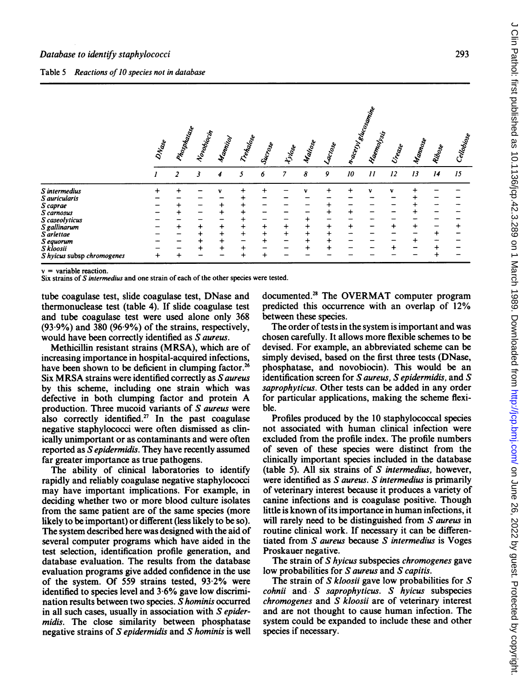|  | Table 5 Reactions of 10 species not in database |  |  |  |  |  |  |
|--|-------------------------------------------------|--|--|--|--|--|--|
|--|-------------------------------------------------|--|--|--|--|--|--|

|                                                                                    | n.aceyleticsomine<br>Phospharase |                |            |                                          |                     |                        |                        |                             |                        |                 |                            |        |         |        |             |
|------------------------------------------------------------------------------------|----------------------------------|----------------|------------|------------------------------------------|---------------------|------------------------|------------------------|-----------------------------|------------------------|-----------------|----------------------------|--------|---------|--------|-------------|
|                                                                                    | DNase                            |                | Novoliocin | Manital                                  | Tretalone           | Success                | tylone                 | Mailose                     | Lactose                |                 | Haematysti                 | Urease | Mannose | Ribose | Cellobicose |
|                                                                                    |                                  | $\overline{z}$ | 3          | 4                                        | 5                   | 6                      | $\overline{7}$         | 8                           | 9                      | 10 <sup>°</sup> | $\boldsymbol{\mathcal{H}}$ | 12     | 13      | 14     | 15          |
| S intermedius<br>S auricularis<br>S caprae<br>S carnosus<br>S caseolyticus         |                                  |                |            |                                          |                     |                        |                        | +                           | $\ddot{}$              | ٠               |                            | v      |         |        |             |
| S gallinarum<br>S arlettae<br>S equorum<br>S kloosii<br>S hyicus subsp chromogenes | +                                |                |            | $\ddot{}$<br>$\ddot{}$<br>$\ddot{}$<br>+ | $\ddot{}$<br>$^{+}$ | $\ddot{}$<br>$\ddot{}$ | $\ddot{}$<br>$\ddot{}$ | $\ddot{}$<br>$\ddot{}$<br>+ | $\ddot{}$<br>$\ddot{}$ |                 |                            |        |         |        |             |

 $v =$  variable reaction.

Six strains of S intermedius and one strain of each of the other species were tested.

tube coagulase test, slide coagulase test, DNase and thermonuclease test (table 4). If slide coagulase test and tube coagulase test were used alone only 368  $(93.9\%)$  and 380  $(96.9\%)$  of the strains, respectively, would have been correctly identified as S aureus.

Methicillin resistant strains (MRSA), which are of increasing importance in hospital-acquired infections, have been shown to be deficient in clumping factor.<sup>26</sup> Six MRSA strains were identified correctly as S aureus by this scheme, including one strain which was defective in both clumping factor and protein A production. Three mucoid variants of S aureus were also correctly identified.<sup>27</sup> In the past coagulase negative staphylococci were often dismissed as clinically unimportant or as contaminants and were often reported as Sepidermidis. They have recently assumed far greater importance as true pathogens.

The ability of clinical laboratories to identify rapidly and reliably coagulase negative staphylococci may have important implications. For example, in deciding whether two or more blood culture isolates from the same patient are of the same species (more likely to be important) or different (less likely to be so). The system described here was designed with the aid of several computer programs which have aided in the test selection, identification profile generation, and database evaluation. The results from the database evaluation programs give added confidence in the use of the system. Of 559 strains tested, 93-2% were identified to species level and 3-6% gave low discrimination results between two species.  $\bar{S}$  hominis occurred in all such cases, usually in association with  $S$  epidermidis. The close similarity between phosphatase negative strains of S epidermidis and S hominis is well

documented.28 The OVERMAT computer program predicted this occurrence with an overlap of 12% between these species.

The order of tests in the system is important and was chosen carefully. It allows more flexible schemes to be devised. For example, an abbreviated scheme can be simply devised, based on the first three tests (DNase, phosphatase, and novobiocin). This would be an identification screen for S aureus, S epidermidis, and S saprophyticus. Other tests can be added in any order for particular applications, making the scheme flexible.

Profiles produced by the 10 staphylococcal species not associated with human clinical infection were excluded from the profile index. The profile numbers of seven of these species were distinct from the clinically important species included in the database (table 5). All six strains of  $S$  intermedius, however, were identified as S aureus. S intermedius is primarily of veterinary interest because it produces a variety of canine infections and is coagulase positive. Though little is known of its importance in human infections, it will rarely need to be distinguished from S aureus in routine clinical work. If necessary it can be differentiated from S aureus because S intermedius is Voges Proskauer negative.

The strain of S hyicus subspecies chromogenes gave low probabilities for S aureus and S capitis.

The strain of  $S$  kloosii gave low probabilities for  $S$  $\mathit{cohnii}$  and S saprophyticus. S hyicus subspecies chromogenes and S kloosii are of veterinary interest and are not thought to cause human infection. The system could be expanded to include these and other species if necessary.